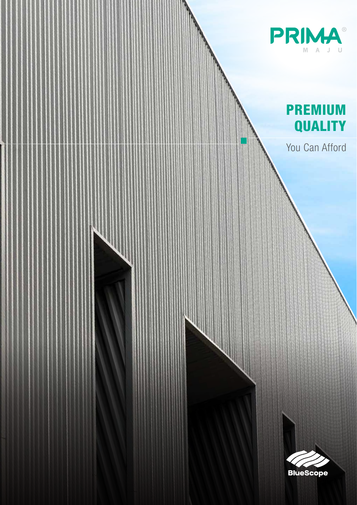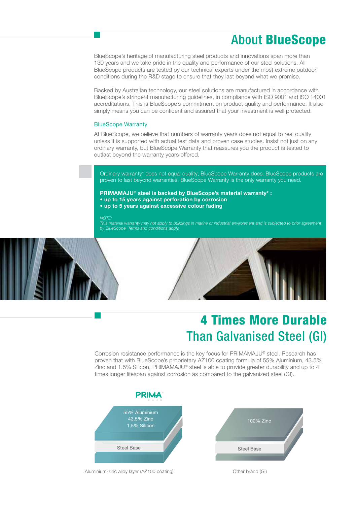## About BlueScope

BlueScope's heritage of manufacturing steel products and innovations span more than 130 years and we take pride in the quality and performance of our steel solutions. All BlueScope products are tested by our technical experts under the most extreme outdoor conditions during the R&D stage to ensure that they last beyond what we promise.

Backed by Australian technology, our steel solutions are manufactured in accordance with BlueScope's stringent manufacturing guidelines, in compliance with ISO 9001 and ISO 14001 accreditations. This is BlueScope's commitment on product quality and performance. It also simply means you can be confident and assured that your investment is well protected.

#### BlueScope Warranty

At BlueScope, we believe that numbers of warranty years does not equal to real quality unless it is supported with actual test data and proven case studies. Insist not just on any ordinary warranty, but BlueScope Warranty that reassures you the product is tested to outlast beyond the warranty years offered.

Ordinary warranty\* does not equal quality; BlueScope Warranty does. BlueScope products are proven to last beyond warranties. BlueScope Warranty is the only warranty you need.

**PRIMAMAJU® steel is backed by BlueScope's material warranty\* : • up to 15 years against perforation by corrosion • up to 5 years against excessive colour fading**

*NOTE:*

*This material warranty may not apply to buildings in marine or industrial environment and is subjected to prior agreement by BlueScope. Terms and conditions apply.*





# 4 Times More Durable Than Galvanised Steel (GI)

Corrosion resistance performance is the key focus for PRIMAMAJU® steel. Research has proven that with BlueScope's proprietary AZ100 coating formula of 55% Aluminium, 43.5% Zinc and 1.5% Silicon, PRIMAMAJU® steel is able to provide greater durability and up to 4 times longer lifespan against corrosion as compared to the galvanized steel (GI).

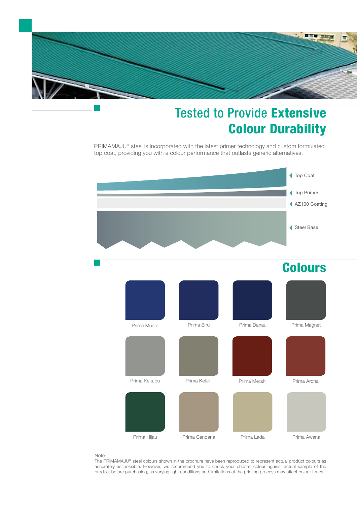

# Tested to Provide Extensive Colour Durability

PRIMAMAJU® steel is incorporated with the latest primer technology and custom formulated top coat, providing you with a colour performance that outlasts generic alternatives.



## **Colours**

| Prima Muara  | Prima Biru    | Prima Danau | Prima Magnet |
|--------------|---------------|-------------|--------------|
|              |               |             |              |
| Prima Kekabu | Prima Keluli  | Prima Merah | Prima Arona  |
|              |               |             |              |
| Prima Hijau  | Prima Cendana | Prima Lada  | Prima Awana  |

#### Note:

The PRIMAMAJU® steel colours shown in the brochure have been reproduced to represent actual product colours as accurately as possible. However, we recommend you to check your chosen colour against actual sample of the product before purchasing, as varying light conditions and limitations of the printing process may affect colour tones.